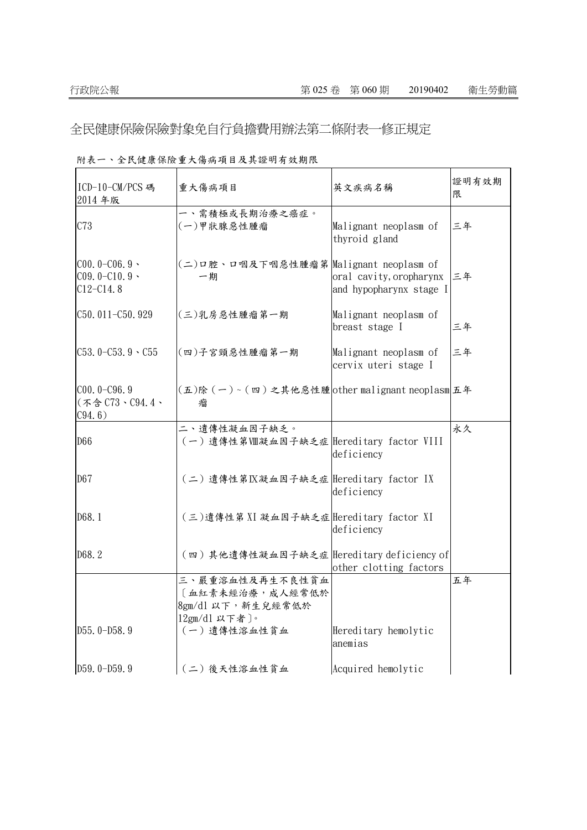全民健康保險保險對象免自行負擔費用辦法第二條附表一修正規定

| ICD-10-CM/PCS 碼<br>2014年版                           | 重大傷病項目                                                                     | 英文疾病名稱                                             | 證明有效期<br>限 |
|-----------------------------------------------------|----------------------------------------------------------------------------|----------------------------------------------------|------------|
| C73                                                 | 一、需積極或長期治療之癌症。<br>(一)甲狀腺惡性腫瘤                                               | Malignant neoplasm of<br>thyroid gland             | 三年         |
| $C00.0 - C06.9$<br>$C09.0 - C10.9$<br>$C12 - C14.8$ | (二)口腔、口咽及下咽惡性腫瘤第 Malignant neoplasm of<br>一期                               | oral cavity, oropharynx<br>and hypopharynx stage I | 三年         |
| C50.011-C50.929                                     | (三)乳房惡性腫瘤第一期                                                               | Malignant neoplasm of<br>breast stage I            | 三年         |
| $C53.0 - C53.9 \cdot C55$                           | (四)子宮頸惡性腫瘤第一期                                                              | Malignant neoplasm of<br>cervix uteri stage I      | 三年         |
| $C00.0 - C96.9$<br>(不含C73、C94.4、<br>C94.6)          | (五)除(一)~(四)之其他惡性腫other malignant neoplasm 五年<br>瘤                          |                                                    |            |
| D66                                                 | 二、遺傳性凝血因子缺乏。<br>(一) 遺傳性第Ⅷ凝血因子缺乏症 Hereditary factor VIII                    | deficiency                                         | 永久         |
| D67                                                 | (二) 遺傳性第IX凝血因子缺乏症 Hereditary factor IX                                     | deficiency                                         |            |
| D68.1                                               | (三)遺傳性第 XI 凝血因子缺乏症 Hereditary factor XI                                    | deficiency                                         |            |
| D68.2                                               | (四)其他遺傳性凝血因子缺乏症 Hereditary deficiency of                                   | other clotting factors                             |            |
|                                                     | 三、嚴重溶血性及再生不良性貧血<br>[血紅素未經治療, 成人經常低於<br>8gm/dl 以下, 新生兒經常低於<br>12gm/d1 以下者)。 |                                                    | 五年         |
| D55.0-D58.9                                         | (一) 遺傳性溶血性貧血                                                               | Hereditary hemolytic<br>anemias                    |            |
| D59.0-D59.9                                         | (二)後天性溶血性貧血                                                                | Acquired hemolytic                                 |            |

附表一、全民健康保險重大傷病項目及其證明有效期限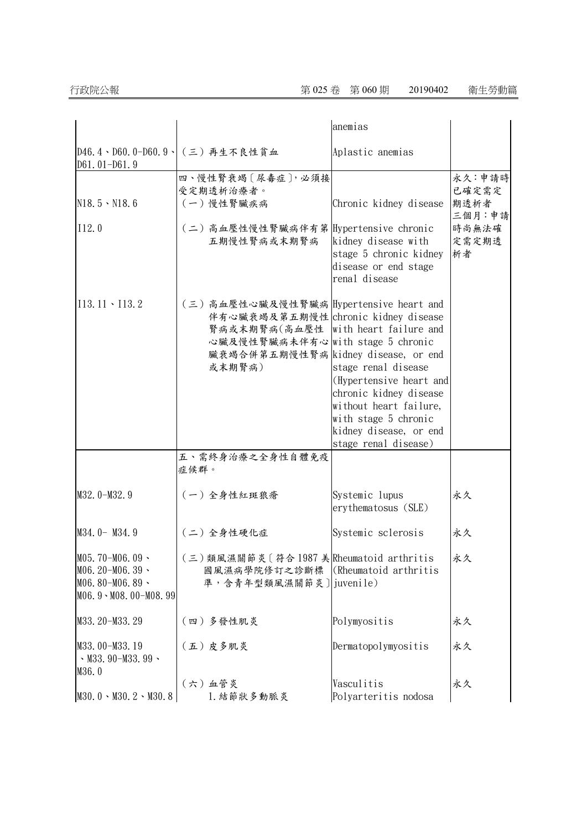|                                                                                     |                                                                                                                                                                                                            | anemias                                                                                                                                                                      |                                |
|-------------------------------------------------------------------------------------|------------------------------------------------------------------------------------------------------------------------------------------------------------------------------------------------------------|------------------------------------------------------------------------------------------------------------------------------------------------------------------------------|--------------------------------|
| D61.01-D61.9                                                                        | D46.4、D60.0-D60.9、(三)再生不良性貧血                                                                                                                                                                               | Aplastic anemias                                                                                                                                                             |                                |
| $N18.5 \cdot N18.6$                                                                 | 四、慢性腎衰竭〔尿毒症〕,必須接<br>受定期透析治療者。<br>(一)慢性腎臟疾病                                                                                                                                                                 | Chronic kidney disease                                                                                                                                                       | 永久:申請時<br>已確定需定<br>期透析者        |
| 112.0                                                                               | (二)高血壓性慢性腎臟病伴有第 Hypertensive chronic<br>五期慢性腎病或末期腎病                                                                                                                                                        | kidney disease with<br>stage 5 chronic kidney<br>disease or end stage<br>renal disease                                                                                       | 三個月:申請<br>時尚無法確<br>定需定期透<br>析者 |
| $113.11 \cdot 113.2$                                                                | (三)高血壓性心臟及慢性腎臟病 Hypertensive heart and<br>伴有心臟衰竭及第五期慢性 chronic kidney disease<br>腎病或末期腎病(高血壓性 with heart failure and<br>心臟及慢性腎臟病未伴有心 with stage 5 chronic<br>臟衰竭合併第五期慢性腎病 kidney disease, or end<br>或末期腎病) | stage renal disease<br>(Hypertensive heart and<br>chronic kidney disease<br>without heart failure,<br>with stage 5 chronic<br>kidney disease, or end<br>stage renal disease) |                                |
|                                                                                     | 五、需終身治療之全身性自體免疫<br>症候群。                                                                                                                                                                                    |                                                                                                                                                                              |                                |
| M32.0-M32.9                                                                         | (一)全身性紅斑狼瘡                                                                                                                                                                                                 | Systemic lupus<br>erythematosus (SLE)                                                                                                                                        | 永久                             |
| M34.0- M34.9                                                                        | (二)全身性硬化症                                                                                                                                                                                                  | Systemic sclerosis                                                                                                                                                           | 永久                             |
| $M05.70 - M06.09$<br>$M06.20 - M06.39$<br>$M06.80 - M06.89$<br>M06.9 \M08.00-M08.99 | (三)類風濕關節炎〔符合1987 美Rheumatoid arthritis<br>國風濕病學院修訂之診斷標<br>準,含青年型類風濕關節炎]juvenile)                                                                                                                           | (Rheumatoid arthritis)                                                                                                                                                       | 永久                             |
| M33.20-M33.29                                                                       | (四)多發性肌炎                                                                                                                                                                                                   | Polymyositis                                                                                                                                                                 | 永久                             |
| M33.00-M33.19<br>$\cdot$ M33.90-M33.99 $\cdot$<br>M36.0                             | (五)皮多肌炎                                                                                                                                                                                                    | Dermatopolymyositis                                                                                                                                                          | 永久                             |
| $M30.0 \cdot M30.2 \cdot M30.8$                                                     | (六)血管炎<br>1. 結節狀多動脈炎                                                                                                                                                                                       | Vasculitis<br>Polyarteritis nodosa                                                                                                                                           | 永久                             |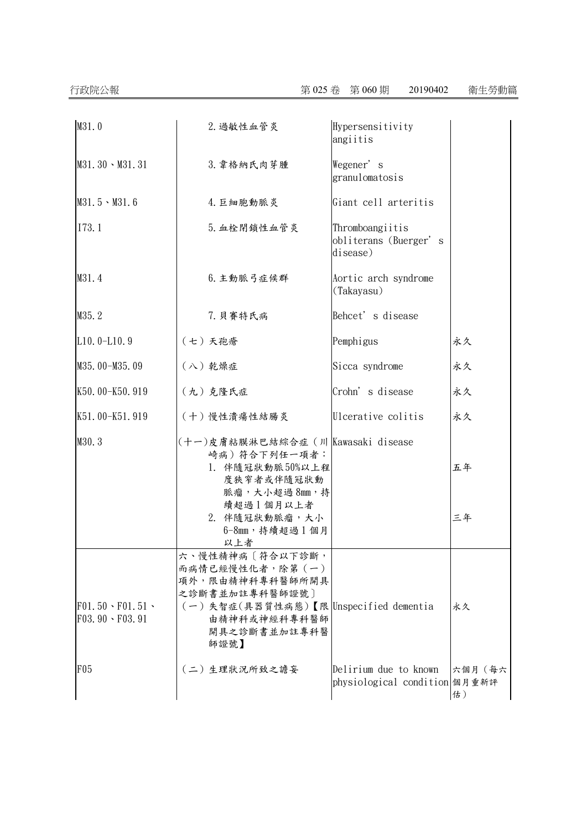| M31.0                                                | 2. 過敏性血管炎                                                                                                                                                  | Hypersensitivity<br>angiitis                           |              |
|------------------------------------------------------|------------------------------------------------------------------------------------------------------------------------------------------------------------|--------------------------------------------------------|--------------|
| $M31.30 \cdot M31.31$                                | 3. 韋格納氏肉芽腫                                                                                                                                                 | Wegener's<br>granulomatosis                            |              |
| $M31.5 \cdot M31.6$                                  | 4. 巨細胞動脈炎                                                                                                                                                  | Giant cell arteritis                                   |              |
| I73.1                                                | 5. 血栓閉鎖性血管炎                                                                                                                                                | Thromboangiitis<br>obliterans (Buerger's<br>disease)   |              |
| M31.4                                                | 6. 主動脈弓症候群                                                                                                                                                 | Aortic arch syndrome<br>(Takayasu)                     |              |
| M35.2                                                | 7. 貝賽特氏病                                                                                                                                                   | Behcet's disease                                       |              |
| $L10.0 - L10.9$                                      | (七)天孢瘡                                                                                                                                                     | Pemphigus                                              | 永久           |
| M35.00-M35.09                                        | (八) 乾燥症                                                                                                                                                    | Sicca syndrome                                         | 永久           |
| K50.00-K50.919                                       | (九) 克隆氏症                                                                                                                                                   | Crohn's disease                                        | 永久           |
| K51.00-K51.919                                       | (十)慢性潰瘍性結腸炎                                                                                                                                                | Ulcerative colitis                                     | 永久           |
| M30.3                                                | (十一)皮膚粘膜淋巴結綜合症 (川 Kawasaki disease<br>崎病)符合下列任一項者:<br>1. 伴隨冠狀動脈50%以上程<br>度狹窄者或伴隨冠狀動<br>脈瘤,大小超過8mm,持<br>續超過1個月以上者<br>2. 伴隨冠狀動脈瘤,大小<br>6-8mm, 持續超過1個月<br>以上者 |                                                        | 五年<br>三年     |
| $F01.50 \cdot F01.51 \cdot$<br>$F03.90 \cdot F03.91$ | 六、慢性精神病〔符合以下診斷,<br>而病情已經慢性化者,除第(一)<br>項外,限由精神科專科醫師所開具<br>之診斷書並加註專科醫師證號〕<br>(一)失智症(具器質性病態)【限 Unspecified dementia<br>由精神科或神經科專科醫師<br>開具之診斷書並加註專科醫<br>師證號】   |                                                        | 永久           |
| F05                                                  | (二)生理狀況所致之譫妄                                                                                                                                               | Delirium due to known<br>physiological condition 個月重新評 | 六個月(每六<br>估) |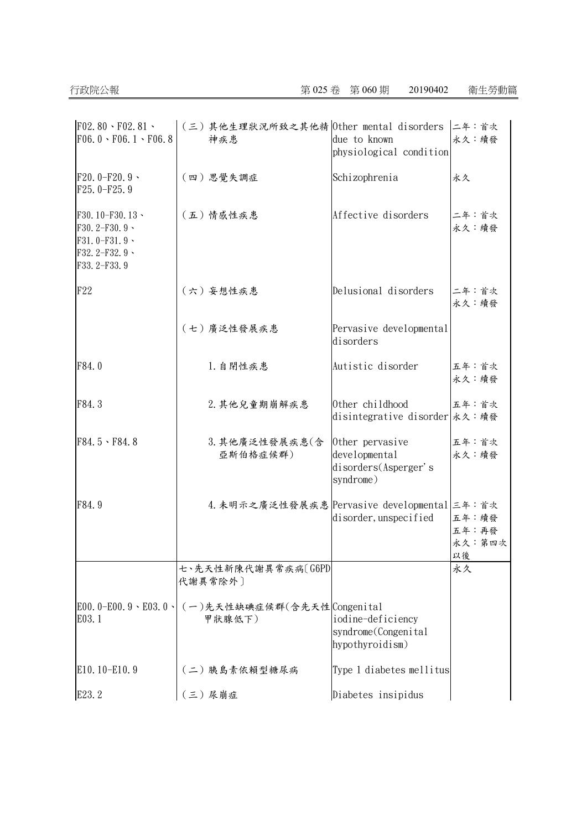| $F02.80 \cdot F02.81 \cdot$<br>$F06.0 \cdot F06.1 \cdot F06.8$                                 | (三)其他生理狀況所致之其他精 0ther mental disorders 二年:首次<br>神疾患 | due to known<br>physiological condition                               | 永久:續發                          |
|------------------------------------------------------------------------------------------------|-----------------------------------------------------|-----------------------------------------------------------------------|--------------------------------|
| $F20.0-F20.9$<br>$F25.0-F25.9$                                                                 | (四)思覺失調症                                            | Schizophrenia                                                         | 永久                             |
| F30.10-F30.13、<br>F30.2-F30.9 $\cdot$<br>$F31.0-F31.9$ \<br>F32.2-F32.9 $\cdot$<br>F33.2-F33.9 | (五) 情感性疾患                                           | Affective disorders                                                   | 二年:首次<br>永久:續發                 |
| F22                                                                                            | (六)妄想性疾患                                            | Delusional disorders                                                  | 二年:首次<br>永久:續發                 |
|                                                                                                | (七)廣泛性發展疾患                                          | Pervasive developmental<br>disorders                                  |                                |
| F84.0                                                                                          | 1. 自閉性疾患                                            | Autistic disorder                                                     | 五年:首次<br>永久:續發                 |
| F84.3                                                                                          | 2. 其他兒童期崩解疾患                                        | Other childhood<br>disintegrative disorder 永久: 續發                     | 五年:首次                          |
| $F84.5 \cdot F84.8$                                                                            | 3. 其他廣泛性發展疾患(含<br>亞斯伯格症候群)                          | Other pervasive<br>developmental<br>disorders(Asperger's<br>syndrome) | 五年:首次<br>永久:續發                 |
| F84.9                                                                                          | 4. 未明示之廣泛性發展疾患 Pervasive developmental 三年: 首次       | disorder, unspecified                                                 | 五年:續發<br>五年:再發<br>永久:第四次<br>以後 |
|                                                                                                | 七、先天性新陳代謝異常疾病〔G6PD<br>代謝異常除外〕                       |                                                                       | 永久                             |
| E00. 0-E00. 9 \ E03. 0 \<br>E03.1                                                              | (一)先天性缺碘症候群(含先天性 Congenital<br>甲狀腺低下)               | iodine-deficiency<br>syndrome(Congenital<br>hypothyroidism)           |                                |
| E10.10-E10.9                                                                                   | (二)胰島素依賴型糖尿病                                        | Type 1 diabetes mellitus                                              |                                |
| E23.2                                                                                          | (三)尿崩症                                              | Diabetes insipidus                                                    |                                |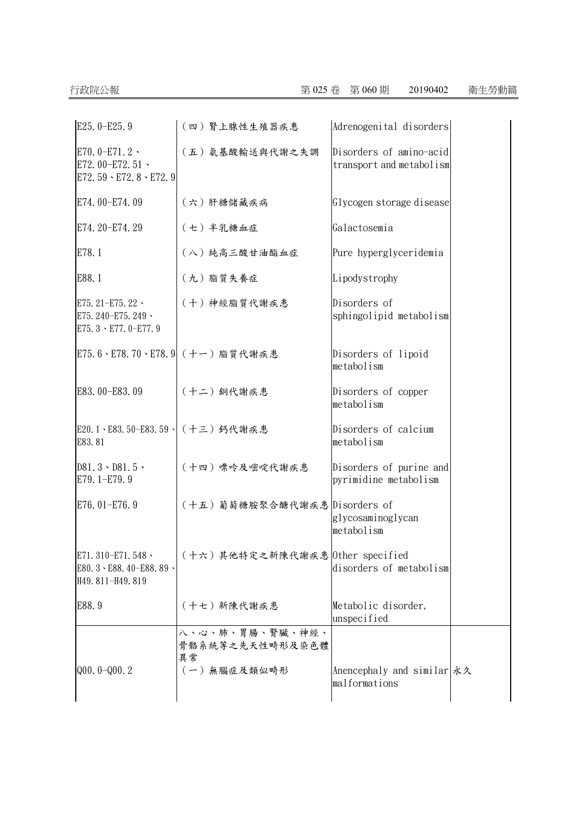| E25.0-E25.9                                                              | (四) 腎上腺性生殖器疾患                            | Adrenogenital disorders                             |  |
|--------------------------------------------------------------------------|------------------------------------------|-----------------------------------------------------|--|
| E70.0-E71.2 $\cdot$<br>E72.00-E72.51 \<br>E72.59 \ E72.8 \ E72.9         | (五) 氨基酸輸送與代謝之失調                          | Disorders of amino-acid<br>transport and metabolism |  |
| E74.00-E74.09                                                            | (六)肝糖儲藏疾病                                | Glycogen storage disease                            |  |
| E74. 20-E74. 29                                                          | (七) 半乳糖血症                                | Galactosemia                                        |  |
| E78.1                                                                    | (八)純高三酸甘油酯血症                             | Pure hyperglyceridemia                              |  |
| E88.1                                                                    | (九) 脂質失養症                                | Lipodystrophy                                       |  |
| E75. 21-E75. 22 ·<br>E75. 240-E75. 249 \<br>E75. $3 \cdot$ E77. 0-E77. 9 | (十)神經脂質代謝疾患                              | Disorders of<br>sphingolipid metabolism             |  |
|                                                                          | E75.6、E78.70、E78.9 (十一) 脂質代謝疾患           | Disorders of lipoid<br>metabolism                   |  |
| E83.00-E83.09                                                            | (十二) 銅代謝疾患                               | Disorders of copper<br>metabolism                   |  |
| E20.1、E83.50-E83.59、 (十三) 鈣代謝疾患<br>E83.81                                |                                          | Disorders of calcium<br>metabolism                  |  |
| $D81.3 \cdot D81.5 \cdot$<br>E79.1-E79.9                                 | (十四) 嘌呤及嘧啶代謝疾患                           | Disorders of purine and<br>pyrimidine metabolism    |  |
| E76.01-E76.9                                                             | (十五)葡萄糖胺聚合醣代謝疾患 Disorders of             | glycosaminoglycan<br>metabolism                     |  |
| E71.310-E71.548、<br>E80.3 \ E88.40-E88.89 \<br>H49.811-H49.819           | (十六)其他特定之新陳代謝疾患 Other specified          | disorders of metabolism                             |  |
| E88.9                                                                    | (十七) 新陳代謝疾患                              | Metabolic disorder,<br>unspecified                  |  |
|                                                                          | 八、心、肺、胃腸、腎臟、神經、<br>骨骼系統等之先天性畸形及染色體<br>異常 |                                                     |  |
| $Q00.0 - Q00.2$                                                          | (一) 無腦症及類似畸形                             | Anencephaly and similar 永久<br>malformations         |  |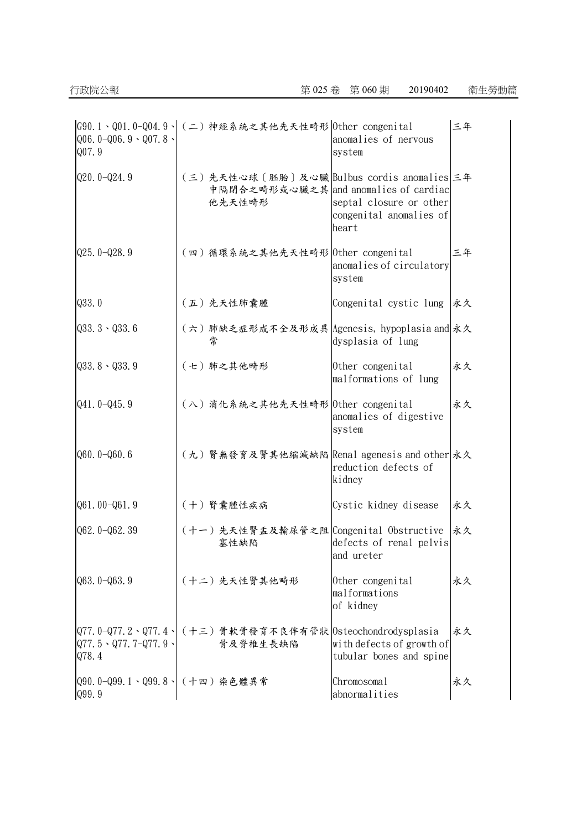| $Q06.0 - Q06.9 - Q07.8$<br>Q07.9           | G90.1、Q01.0-Q04.9、 (二)神經系統之其他先天性畸形 Other congenital                                           | anomalies of nervous<br>system                              | 三年 |
|--------------------------------------------|-----------------------------------------------------------------------------------------------|-------------------------------------------------------------|----|
| $Q20.0 - Q24.9$                            | (三)先天性心球〔胚胎〕及心臟 Bulbus cordis anomalies 三年<br>中隔閉合之畸形或心臟之其 and anomalies of cardiac<br>他先天性畸形 | septal closure or other<br>congenital anomalies of<br>heart |    |
| $Q25.0 - Q28.9$                            | (四)循環系統之其他先天性畸形 Other congenital                                                              | anomalies of circulatory<br>system                          | 三年 |
| Q33.0                                      | (五)先天性肺囊腫                                                                                     | Congenital cystic lung                                      | 永久 |
| $Q33.3 \cdot Q33.6$                        | (六)肺缺乏症形成不全及形成異 Agenesis, hypoplasia and 永久<br>常                                              | dysplasia of lung                                           |    |
| $Q33.8 \cdot Q33.9$                        | (七)肺之其他畸形                                                                                     | Other congenital<br>malformations of lung                   | 永久 |
| $Q41.0 - Q45.9$                            | (八) 消化系統之其他先天性畸形 Other congenital                                                             | anomalies of digestive<br>system                            | 永久 |
| $Q60.0 - Q60.6$                            | (九)腎無發育及腎其他縮減缺陷 Renal agenesis and other 永久                                                   | reduction defects of<br>kidney                              |    |
| $Q61.00 - Q61.9$                           | (十) 腎囊腫性疾病                                                                                    | Cystic kidney disease                                       | 永久 |
| Q62.0-Q62.39                               | (十一)先天性腎盂及輸尿管之阻 Congenital Obstructive<br>塞性缺陷                                                | defects of renal pelvis<br>and ureter                       | 永久 |
| $Q63.0 - Q63.9$                            | (十二)先天性腎其他畸形                                                                                  | Other congenital<br>malformations<br>of kidney              | 永久 |
| $Q77.5 \cdot Q77.7 - Q77.9 \cdot$<br>Q78.4 | Q77.0-Q77.2、Q77.4、 (十三)骨軟骨發育不良伴有管狀  Osteochondrodysplasia<br>骨及脊椎生長缺陷                         | with defects of growth of<br>tubular bones and spine        | 永久 |
| Q90.0-Q99.1、Q99.8、(十四)染色體異常<br>Q99.9       |                                                                                               | Chromosomal<br>abnormalities                                | 永久 |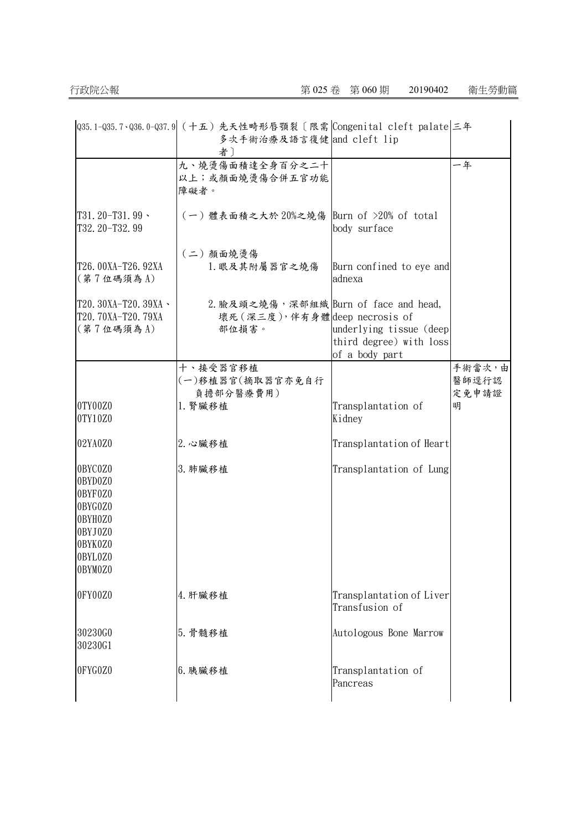|                                                                                                 | Q35.1-Q35.7、Q36.0-Q37.9 (十五)先天性畸形唇顎裂〔限需 Congenital cleft palate 三年<br>多次手術治療及語言復健 and cleft lip<br>者 |                                                                      |                 |
|-------------------------------------------------------------------------------------------------|------------------------------------------------------------------------------------------------------|----------------------------------------------------------------------|-----------------|
|                                                                                                 | 九、燒燙傷面積達全身百分之二十<br>以上;或顏面燒燙傷合併五官功能<br>障礙者。                                                           |                                                                      | 一年              |
| T31.20-T31.99 \<br>T32.20-T32.99                                                                | (一) 體表面積之大於 20%之燒傷 Burn of >20% of total                                                             | body surface                                                         |                 |
| T26.00XA-T26.92XA<br>(第7位碼須為A)                                                                  | (二)顏面燒燙傷<br>1. 眼及其附屬器官之燒傷                                                                            | Burn confined to eye and<br>adnexa                                   |                 |
| T20. 30XA-T20. 39XA \<br>T20. 70XA-T20. 79XA<br>(第7位碼須為A)                                       | 2. 臉及頭之燒傷,深部組織 Burn of face and head,<br>壞死 (深三度), 伴有身體 deep necrosis of<br>部位損害。                    | underlying tissue (deep<br>third degree) with loss<br>of a body part |                 |
|                                                                                                 | 十、接受器官移植<br>(一)移植器官(摘取器官亦免自行                                                                         |                                                                      | 手術當次,由<br>醫師逕行認 |
| 0TY00Z0<br>0TY10Z0                                                                              | 負擔部分醫療費用)<br>1. 腎臟移植                                                                                 | Transplantation of<br>Kidney                                         | 定免申請證<br>明      |
| 02YA0Z0                                                                                         | 2. 心臟移植                                                                                              | Transplantation of Heart                                             |                 |
| 0BYC0Z0<br>0BYD0Z0<br>0BYF0Z0<br>0BYG0Z0<br>0BYH0Z0<br>0BYJ0Z0<br>0BYK0Z0<br>0BYL0Z0<br>0BYM0Z0 | 3. 肺臟移植                                                                                              | Transplantation of Lung                                              |                 |
| 0FY00Z0                                                                                         | 4. 肝臟移植                                                                                              | Transplantation of Liver<br>Transfusion of                           |                 |
| 30230G0<br>30230G1                                                                              | 5. 骨髓移植                                                                                              | Autologous Bone Marrow                                               |                 |
| 0FYG0Z0                                                                                         | 6. 胰臟移植                                                                                              | Transplantation of<br>Pancreas                                       |                 |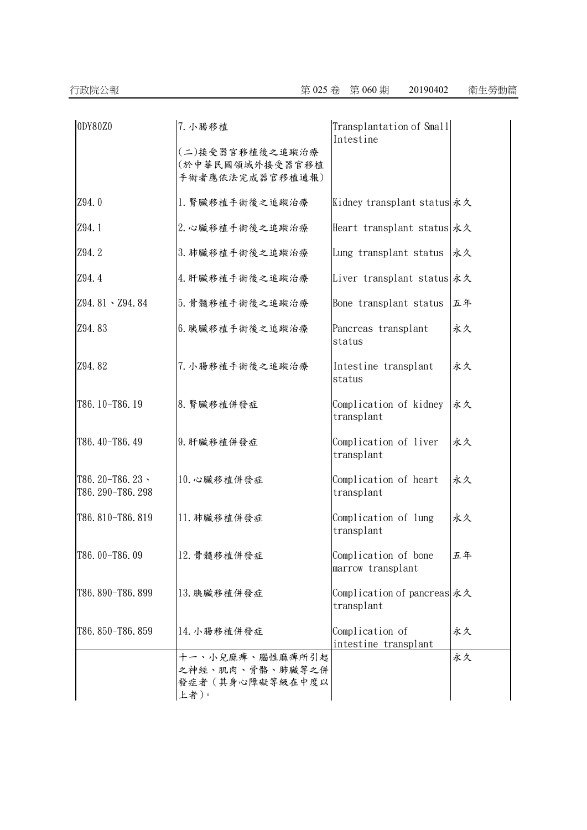| 0DY80Z0                             | 7. 小腸移植                                                       | Transplantation of Small<br>Intestine     |    |
|-------------------------------------|---------------------------------------------------------------|-------------------------------------------|----|
|                                     | (二)接受器官移植後之追蹤治療<br>(於中華民國領域外接受器官移植<br>手術者應依法完成器官移植通報)         |                                           |    |
| Z94.0                               | 1. 腎臟移植手術後之追蹤治療                                               | Kidney transplant status 永久               |    |
| Z94.1                               | 2. 心臟移植手術後之追蹤治療                                               | Heart transplant status 永久                |    |
| Z94.2                               | 3. 肺臟移植手術後之追蹤治療                                               | Lung transplant status                    | 永久 |
| Z94.4                               | 4. 肝臟移植手術後之追蹤治療                                               | Liver transplant status 永久                |    |
| Z94.81 \ Z94.84                     | 5. 骨髓移植手術後之追蹤治療                                               | Bone transplant status                    | 五年 |
| Z94.83                              | 6. 胰臟移植手術後之追蹤治療                                               | Pancreas transplant<br>status             | 永久 |
| Z94.82                              | 7. 小腸移植手術後之追蹤治療                                               | Intestine transplant<br>status            | 永久 |
| T86.10-T86.19                       | 8. 腎臟移植併發症                                                    | Complication of kidney<br>transplant      | 永久 |
| T86.40-T86.49                       | 9. 肝臟移植併發症                                                    | Complication of liver<br>transplant       | 永久 |
| T86.20-T86.23、<br>T86. 290-T86. 298 | 10. 心臟移植併發症                                                   | Complication of heart<br>transplant       | 永久 |
| T86.810-T86.819                     | 11. 肺臟移植併發症                                                   | Complication of lung<br>transplant        | 永久 |
| T86.00-T86.09                       | 12. 骨髓移植併發症                                                   | Complication of bone<br>marrow transplant | 五年 |
| T86.890-T86.899                     | 13. 胰臟移植併發症                                                   | Complication of pancreas 永久<br>transplant |    |
| T86.850-T86.859                     | 14. 小腸移植併發症                                                   | Complication of<br>intestine transplant   | 永久 |
|                                     | 十一、小兒麻痺、腦性麻痺所引起<br>之神經、肌肉、骨骼、肺臟等之併<br>發症者(其身心障礙等級在中度以<br>上者)。 |                                           | 永久 |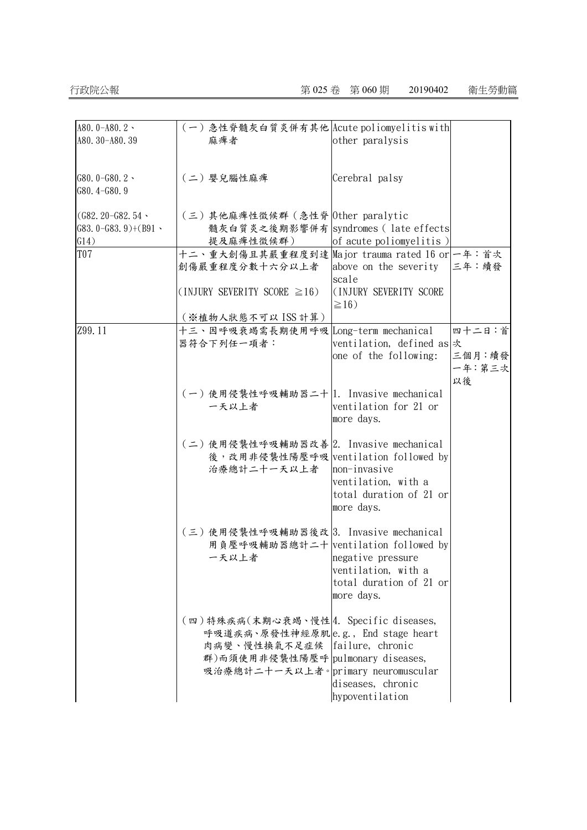## 行政院公報 第 025 卷 第 060 期 20190402 衛生勞動篇

| A80.0-A80.2 \       | (一)急性脊髓灰白質炎併有其他 Acute poliomyelitis with       |                              |        |
|---------------------|------------------------------------------------|------------------------------|--------|
| A80. 30-A80. 39     | 麻痺者                                            | other paralysis              |        |
|                     |                                                |                              |        |
|                     |                                                |                              |        |
| G80.0-G80.2 $\cdot$ | (二) 嬰兒腦性麻痺                                     | Cerebral palsy               |        |
| G80.4-G80.9         |                                                |                              |        |
| $(G82, 20-G82, 54$  | (三)其他麻痺性徵候群 (急性脊 Other paralytic               |                              |        |
| $G83.0-G83.9)+(B91$ | 髓灰白質炎之後期影響併有 syndromes (late effects           |                              |        |
| G14)                | 提及麻痺性徵候群)                                      | of acute poliomyelitis)      |        |
| T07                 | 十二、重大創傷且其嚴重程度到達 Major trauma rated 16 or 一年:首次 |                              |        |
|                     | 創傷嚴重程度分數十六分以上者                                 | above on the severity  三年:續發 |        |
|                     |                                                | scale                        |        |
|                     | $(INJURY SEVERITY SCORE \geq 16)$              | (INJURY SEVERITY SCORE       |        |
|                     |                                                | $\geq$ 16)                   |        |
|                     | (※植物人狀態不可以 ISS 計算)                             |                              |        |
| Z99.11              | 十三、因呼吸衰竭需長期使用呼吸 Long-term mechanical           |                              | 四十二日:首 |
|                     | 器符合下列任一項者:                                     | ventilation, defined as 次    |        |
|                     |                                                | one of the following:        | 三個月:續發 |
|                     |                                                |                              | 一年:第三次 |
|                     |                                                |                              | 以後     |
|                     | (一)使用侵襲性呼吸輔助器二十 1. Invasive mechanical         |                              |        |
|                     | 一天以上者                                          | ventilation for 21 or        |        |
|                     |                                                | more days.                   |        |
|                     |                                                |                              |        |
|                     | (二)使用侵襲性呼吸輔助器改善 2. Invasive mechanical         |                              |        |
|                     | 後, 改用非侵襲性陽壓呼吸 ventilation followed by          |                              |        |
|                     | 治療總計二十一天以上者                                    | non-invasive                 |        |
|                     |                                                | ventilation, with a          |        |
|                     |                                                | total duration of 21 or      |        |
|                     |                                                | more days.                   |        |
|                     | (三)使用侵襲性呼吸輔助器後改 3. Invasive mechanical         |                              |        |
|                     | 用負壓呼吸輔助器總計二十 ventilation followed by           |                              |        |
|                     | 一天以上者                                          | negative pressure            |        |
|                     |                                                | ventilation, with a          |        |
|                     |                                                | total duration of 21 or      |        |
|                     |                                                | more days.                   |        |
|                     |                                                |                              |        |
|                     | (四)特殊疾病(末期心衰竭、慢性4. Specific diseases,          |                              |        |
|                     | 呼吸道疾病、原發性神經原肌e.g., End stage heart             |                              |        |
|                     | 肉病變、慢性換氣不足症候 failure, chronic                  |                              |        |
|                     | 群)而須使用非侵襲性陽壓呼 pulmonary diseases,              |                              |        |
|                     | 吸治療總計二十一天以上者。primary neuromuscular             |                              |        |
|                     |                                                | diseases, chronic            |        |
|                     |                                                | hypoventilation              |        |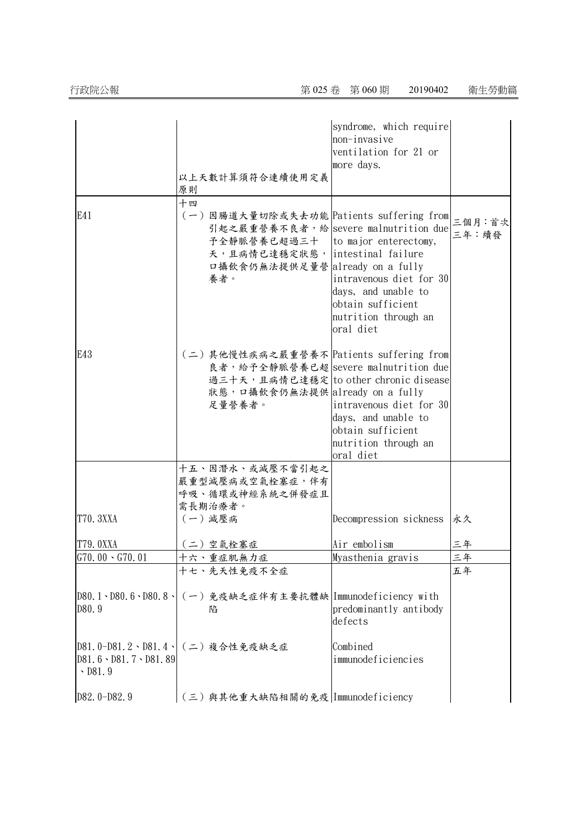|                                                                                |                                                                                                                                                                                                            | syndrome, which require<br>non-invasive<br>ventilation for 21 or<br>more days.                           |                 |
|--------------------------------------------------------------------------------|------------------------------------------------------------------------------------------------------------------------------------------------------------------------------------------------------------|----------------------------------------------------------------------------------------------------------|-----------------|
|                                                                                | 以上天數計算須符合連續使用定義<br>原則                                                                                                                                                                                      |                                                                                                          |                 |
| E41                                                                            | 十四<br>(一) 因腸道大量切除或失去功能 Patients suffering from<br>引起之嚴重營養不良者,給 severe malnutrition due<br>予全静脈營養已超過三十   to major enterectomy,<br>天,且病情已達穩定狀態, intestinal failure<br>口攝飲食仍無法提供足量營 already on a fully<br>養者。 | intravenous diet for 30<br>days, and unable to<br>obtain sufficient<br>nutrition through an<br>oral diet | 三個月:首次<br>三年:續發 |
| E43                                                                            | (二)其他慢性疾病之嚴重營養不 Patients suffering from<br>良者, 給予全靜脈營養已超 severe malnutrition due<br>過三十天,且病情已達穩定 to other chronic disease<br>狀態, 口攝飲食仍無法提供 already on a fully<br>足量營養者。                                    | intravenous diet for 30<br>days, and unable to<br>obtain sufficient<br>nutrition through an<br>oral diet |                 |
|                                                                                | 十五、因潛水、或減壓不當引起之<br>嚴重型減壓病或空氣栓塞症,伴有<br>呼吸、循環或神經系統之併發症且<br>需長期治療者。                                                                                                                                           |                                                                                                          |                 |
| T70. 3XXA                                                                      | (一) 減壓病                                                                                                                                                                                                    | Decompression sickness                                                                                   | 永久              |
| T79.0XXA                                                                       | (二)空氣栓塞症                                                                                                                                                                                                   | Air embolism                                                                                             | 三年              |
| $G70.00 \cdot G70.01$                                                          | 十六、重症肌無力症                                                                                                                                                                                                  | Myasthenia gravis                                                                                        | 三年              |
|                                                                                | 十七、先天性免疫不全症                                                                                                                                                                                                |                                                                                                          | 五年              |
| $D80.1 \cdot D80.6 \cdot D80.8 \cdot$<br>D80.9                                 | (一)免疫缺乏症伴有主要抗體缺 Immunodeficiency with<br>陷                                                                                                                                                                 | predominantly antibody<br>defects                                                                        |                 |
| $D81.0-D81.2 \cdot D81.4$<br>$D81.6 \cdot D81.7 \cdot D81.89$<br>$\cdot$ D81.9 | (二) 複合性免疫缺乏症                                                                                                                                                                                               | Combined<br>immunodeficiencies                                                                           |                 |
| D82.0-D82.9                                                                    | (三)與其他重大缺陷相關的免疫 Immunodeficiency                                                                                                                                                                           |                                                                                                          |                 |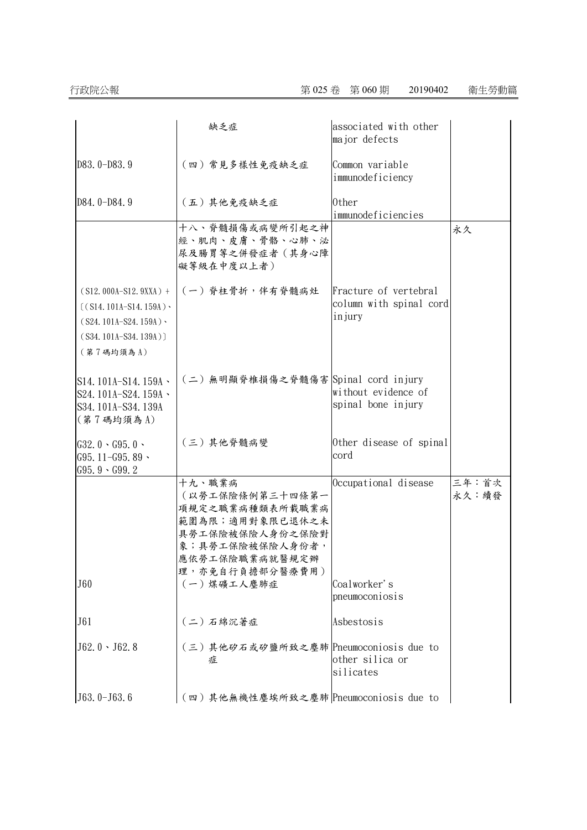|                                                                                                                   | 缺乏症                                                                                                                                                       | associated with other<br>major defects                     |                |
|-------------------------------------------------------------------------------------------------------------------|-----------------------------------------------------------------------------------------------------------------------------------------------------------|------------------------------------------------------------|----------------|
| D83.0-D83.9                                                                                                       | (四)常見多樣性免疫缺乏症                                                                                                                                             | Common variable<br>immunodeficiency                        |                |
| D84.0-D84.9                                                                                                       | (五)其他免疫缺乏症                                                                                                                                                | 0ther<br>immunodeficiencies                                |                |
|                                                                                                                   | 十八、脊髓損傷或病變所引起之神<br>經、肌肉、皮膚、骨骼、心肺、泌<br>尿及腸胃等之併發症者(其身心障<br>礙等級在中度以上者)                                                                                       |                                                            | 永久             |
| $(S12.000A-S12.9XXX) +$<br>$((S14.101A-S14.159A)$<br>$(S24.101A-S24.159A)$<br>$(S34.101A-S34.139A))$<br>(第7碼均須為A) | (一) 脊柱骨折,伴有脊髓病灶                                                                                                                                           | Fracture of vertebral<br>column with spinal cord<br>injury |                |
| $S14.101A-S14.159A$<br>S24.101A-S24.159A \<br>S34.101A-S34.139A<br>(第7碼均須為A)                                      | (二)無明顯脊椎損傷之脊髓傷害 Spinal cord injury                                                                                                                        | without evidence of<br>spinal bone injury                  |                |
| $G32.0 \cdot G95.0 \cdot$<br>$G95.11 - G95.89$<br>$G95.9 \cdot G99.2$                                             | (三)其他脊髓病變                                                                                                                                                 | Other disease of spinal<br>cord                            |                |
| J60                                                                                                               | 十九、職業病<br>(以勞工保險條例第三十四條第一<br>項規定之職業病種類表所載職業病<br>範圍為限;適用對象限已退休之未<br>具勞工保險被保險人身份之保險對<br>象;具勞工保險被保險人身份者,<br>應依勞工保險職業病就醫規定辦<br>理,亦免自行負擔部分醫療費用)<br>(一) 煤礦工人塵肺症 | Occupational disease<br>Coalworker's                       | 三年:首次<br>永久:續發 |
| J61                                                                                                               | (二)石綿沉著症                                                                                                                                                  | pneumoconiosis<br>Asbestosis                               |                |
| $J62.0 \cdot J62.8$                                                                                               | (三)其他矽石或矽鹽所致之塵肺 Pneumoconiosis due to                                                                                                                     | other silica or<br>silicates                               |                |
| $J63.0-J63.6$                                                                                                     | (四)其他無機性塵埃所致之塵肺 Pneumoconiosis due to                                                                                                                     |                                                            |                |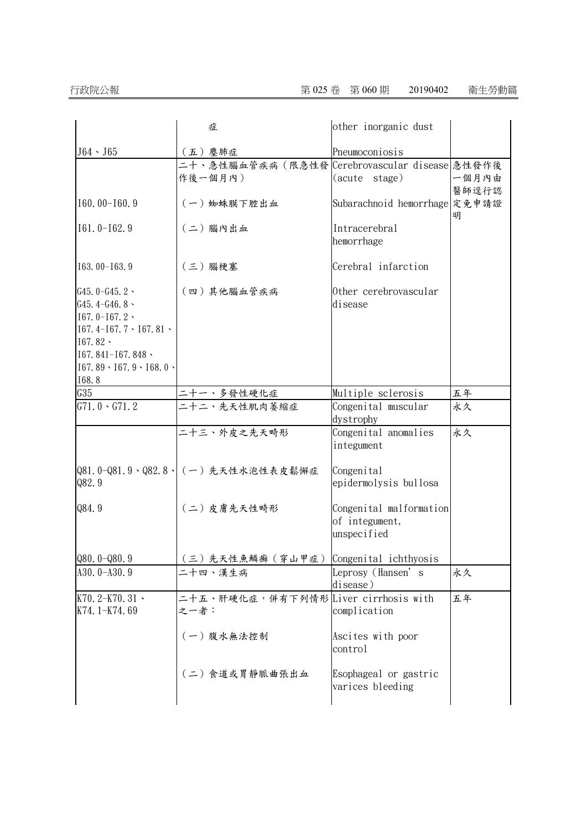|                                                                                                                                                                               | 症                                                        | other inorganic dust                                     |            |
|-------------------------------------------------------------------------------------------------------------------------------------------------------------------------------|----------------------------------------------------------|----------------------------------------------------------|------------|
| $J64 \cdot J65$                                                                                                                                                               | (五) 塵肺症                                                  | Pneumoconiosis                                           |            |
|                                                                                                                                                                               | 二十、急性腦血管疾病(限急性發 Cerebrovascular disease 急性發作後<br>作後一個月內) | (acute stage)                                            | 一個月內由      |
| $I60.00-I60.9$                                                                                                                                                                | (一) 蜘蛛膜下腔出血                                              | Subarachnoid hemorrhage 定免申請證                            | 醫師逕行認<br>明 |
| $I61.0-I62.9$                                                                                                                                                                 | (二)腦內出血                                                  | Intracerebral<br>hemorrhage                              |            |
| I63.00-I63.9                                                                                                                                                                  | (三) 腦梗塞                                                  | Cerebral infarction                                      |            |
| G45.0-G45.2 $\cdot$<br>G45.4-G46.8 $\cdot$<br>$I67.0-I67.2$<br>$167.4 - 167.7 \cdot 167.81$<br>$167.82 -$<br>$167.841 - 167.848$<br>$167.89 \cdot 167.9 \cdot 168.0$<br>168.8 | (四)其他腦血管疾病                                               | Other cerebrovascular<br>disease                         |            |
| G35                                                                                                                                                                           | 二十一、多發性硬化症                                               | Multiple sclerosis                                       | 五年         |
| $G71.0 \cdot G71.2$                                                                                                                                                           | 二十二、先天性肌肉萎缩症                                             | Congenital muscular<br>dystrophy                         | 永久         |
|                                                                                                                                                                               | 二十三、外皮之先天畸形                                              | Congenital anomalies<br>integument                       | 永久         |
| Q82.9                                                                                                                                                                         | Q81.0-Q81.9、Q82.8、(一)先天性水泡性表皮鬆懈症                         | Congenital<br>epidermolysis bullosa                      |            |
| Q84.9                                                                                                                                                                         | (二)皮膚先天性畸形                                               | Congenital malformation<br>of integument,<br>unspecified |            |
| $Q80.0 - Q80.9$                                                                                                                                                               | (三)先天性魚鱗癬(穿山甲症) Congenital ichthyosis                    |                                                          |            |
| $A30.0 - A30.9$                                                                                                                                                               | 二十四、漢生病                                                  | Leprosy (Hansen's<br>disease)                            | 永久         |
| K70.2-K70.31 $\cdot$<br>K74.1-K74.69                                                                                                                                          | 二十五、肝硬化症,併有下列情形 Liver cirrhosis with<br>之一者:             | complication                                             | 五年         |
|                                                                                                                                                                               | (一)腹水無法控制                                                | Ascites with poor<br>control                             |            |
|                                                                                                                                                                               | (二)食道或胃静脈曲張出血                                            | Esophageal or gastric<br>varices bleeding                |            |